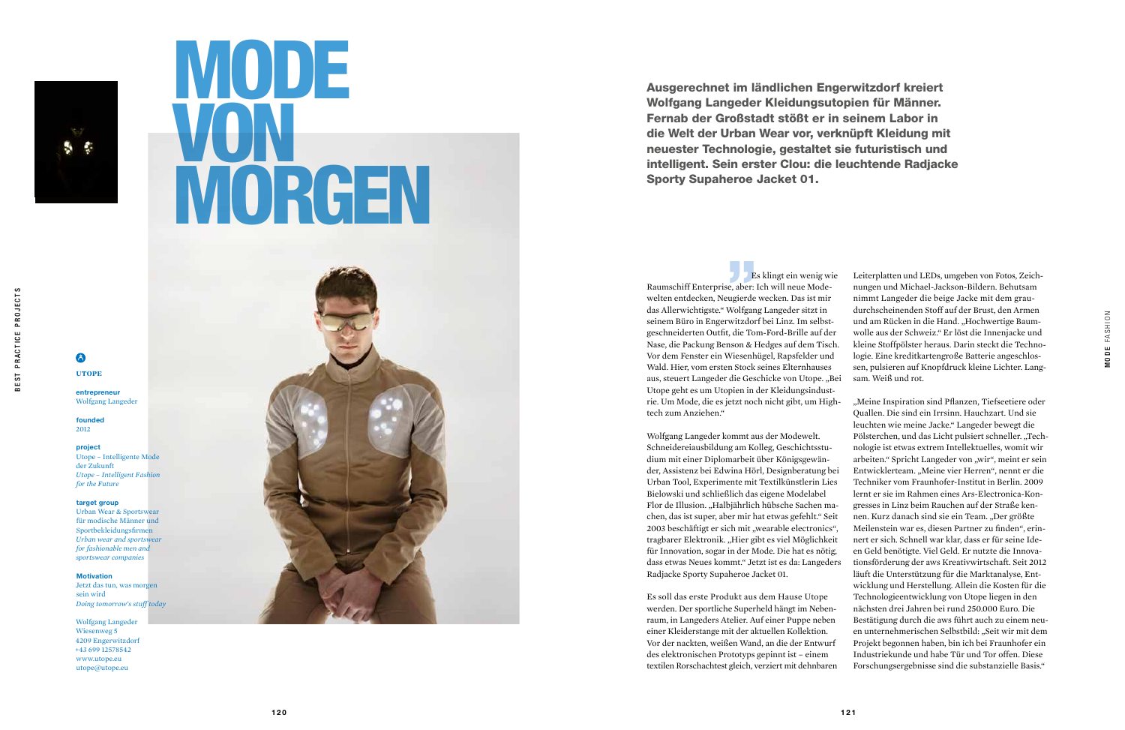

### 8 UTOPE

# MODE VON MORGEN



Es klingt ein wenig wie Raumschiff Enterprise, aber: Ich will neue Mode welten entdecken, Neugierde wecken. Das ist mir das Allerwichtigste." Wolfgang Langeder sitzt in seinem Büro in Engerwitzdorf bei Linz. Im selbst geschneiderten Outfit, die Tom-Ford-Brille auf der Nase, die Packung Benson & Hedges auf dem Tisch. Vor dem Fenster ein Wiesenhügel, Rapsfelder und Wald. Hier, vom ersten Stock seines Elternhauses aus, steuert Langeder die Geschicke von Utope. "Bei Utope geht es um Utopien in der Kleidungsindust -

entrepreneur Wolfgang Langeder

nungen und Michael-Jackson-Bildern. Behutsam nimmt Langeder die beige Jacke mit dem graudurchscheinenden Stoff auf der Brust, den Armen und am Rücken in die Hand. "Hochwertige Baumwolle aus der Schweiz." Er löst die Innenjacke und kleine Stoffpölster heraus. Darin steckt die Techno logie. Eine kreditkartengroße Batterie angeschlos sen, pulsieren auf Knopfdruck kleine Lichter. Lang sam. Weiß und rot.

rie. Um Mode, die es jetzt noch nicht gibt, um High tech zum Anziehen." Wolfgang Langeder kommt aus der Modewelt. Schneidereiausbildung am Kolleg, Geschichtsstu dium mit einer Diplomarbeit über Königsgewän der, Assistenz bei Edwina Hörl, Designberatung bei Urban Tool, Experimente mit Textilkünstlerin Lies Bielowski und schließlich das eigene Modelabel Flor de Illusion. "Halbjährlich hübsche Sachen machen, das ist super, aber mir hat etwas gefehlt." Seit 2003 beschäftigt er sich mit "wearable electronics", tragbarer Elektronik. "Hier gibt es viel Möglichkeit für Innovation, sogar in der Mode. Die hat es nötig, dass etwas Neues kommt." Jetzt ist es da: Langeders Radjacke Sporty Supaheroe Jacket 01. Es soll das erste Produkt aus dem Hause Utope werden. Der sportliche Superheld hängt im Neben raum, in Langeders Atelier. Auf einer Puppe neben einer Kleiderstange mit der aktuellen Kollektion. Vor der nackten, weißen Wand, an die der Entwurf des elektronischen Prototyps gepinnt ist – einem textilen Rorschachtest gleich, verziert mit dehnbaren " Leiterplatten und LEDs, umgeben von Fotos, Zeich-"Meine Inspiration sind Pflanzen, Tiefseetiere oder Quallen. Die sind ein Irrsinn. Hauchzart. Und sie leuchten wie meine Jacke." Langeder bewegt die Pölsterchen, und das Licht pulsiert schneller. "Technologie ist etwas extrem Intellektuelles, womit wir arbeiten." Spricht Langeder von "wir", meint er sein Entwicklerteam. "Meine vier Herren", nennt er die Techniker vom Fraunhofer-Institut in Berlin. 2009 lernt er sie im Rahmen eines Ars-Electronica-Kon gresses in Linz beim Rauchen auf der Straße ken nen. Kurz danach sind sie ein Team. "Der größte Meilenstein war es, diesen Partner zu finden", erin nert er sich. Schnell war klar, dass er für seine Ide en Geld benötigte. Viel Geld. Er nutzte die Innova tionsförderung der aws Kreativwirtschaft. Seit 2012 läuft die Unterstützung für die Marktanalyse, Ent wicklung und Herstellung. Allein die Kosten für die Technologieentwicklung von Utope liegen in den nächsten drei Jahren bei rund 250.000 Euro. Die Bestätigung durch die aws führt auch zu einem neu en unternehmerischen Selbstbild: "Seit wir mit dem Projekt begonnen haben, bin ich bei Fraunhofer ein Industriekunde und habe Tür und Tor offen. Diese Forschungsergebnisse sind die substanzielle Basis."

Ausgerechnet im ländlichen Engerwitzdorf kreiert Wolfgang Langeder Kleidungsutopien für Männer. Fernab der Großstadt stößt er in seinem Labor in die Welt der Urban Wear vor, verknüpft Kleidung mit neuester Technologie, gestaltet sie futuristisch und intelligent. Sein erster Clou: die leuchtende Radjacke Sporty Supaheroe Jacket 01.

founded 2012

### project

Utope – Intelligente Mode der Zukunft *Utope – Intelligent Fashion for the Future*

### target group

Urban Wear & Sportswear für modische Männer und Sportbekleidungsfirmen *Urban wear and sportswear for fashionable men and sportswear companies* 

### Motivation

Jetzt das tun, was morgen sein wird *Doing tomorrow's stuff today*

Wolfgang Langeder Wiesenweg 5 4209 Engerwitzdorf +43 699 12578542 www.utope.eu utope@utope.eu